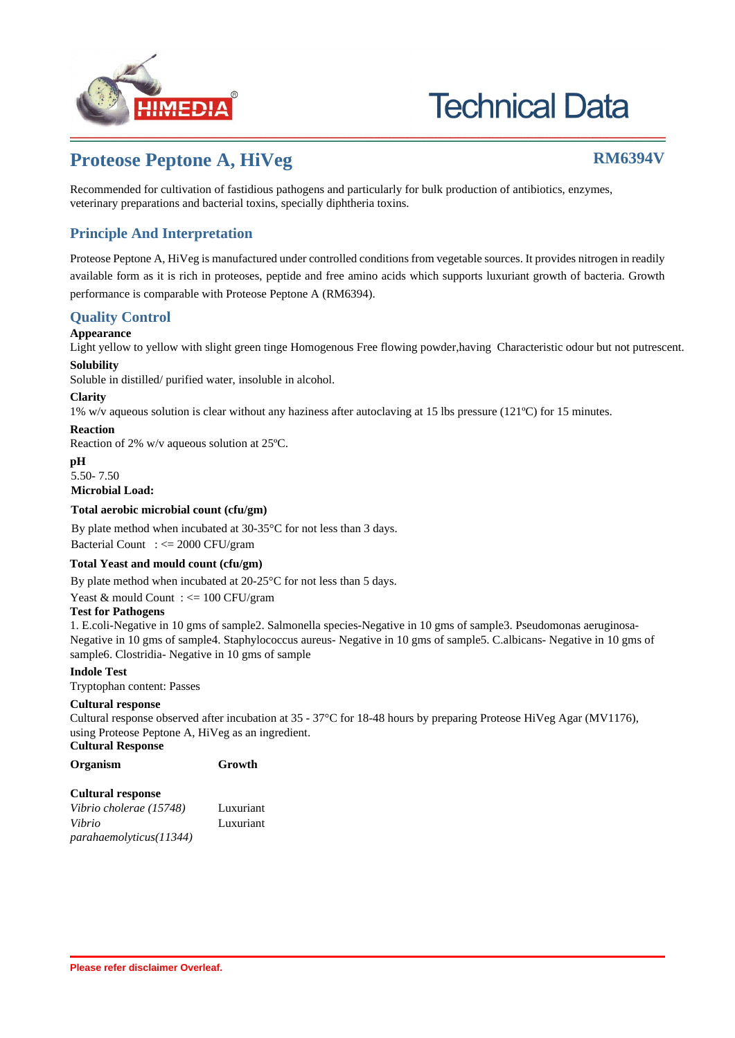

# **Technical Data**

## **Proteose Peptone A, HiVeg RM6394V**

Recommended for cultivation of fastidious pathogens and particularly for bulk production of antibiotics, enzymes, veterinary preparations and bacterial toxins, specially diphtheria toxins.

### **Principle And Interpretation**

Proteose Peptone A, HiVeg is manufactured under controlled conditions from vegetable sources. It provides nitrogen in readily available form as it is rich in proteoses, peptide and free amino acids which supports luxuriant growth of bacteria. Growth performance is comparable with Proteose Peptone A (RM6394).

### **Quality Control**

#### **Appearance**

Light yellow to yellow with slight green tinge Homogenous Free flowing powder,having Characteristic odour but not putrescent. **Solubility**

Soluble in distilled/ purified water, insoluble in alcohol.

#### **Clarity**

1% w/v aqueous solution is clear without any haziness after autoclaving at 15 lbs pressure (121ºC) for 15 minutes.

### **Reaction**

Reaction of 2% w/v aqueous solution at 25ºC.

#### **pH**

5.50- 7.50

**Microbial Load:**

#### **Total aerobic microbial count (cfu/gm)**

Bacterial Count : <= 2000 CFU/gram By plate method when incubated at 30-35°C for not less than 3 days.

#### **Total Yeast and mould count (cfu/gm)**

By plate method when incubated at 20-25°C for not less than 5 days.

Yeast & mould Count : <= 100 CFU/gram

#### **Test for Pathogens**

1. E.coli-Negative in 10 gms of sample2. Salmonella species-Negative in 10 gms of sample3. Pseudomonas aeruginosa-Negative in 10 gms of sample4. Staphylococcus aureus- Negative in 10 gms of sample5. C.albicans- Negative in 10 gms of sample6. Clostridia- Negative in 10 gms of sample

#### **Indole Test**

Tryptophan content: Passes

#### **Cultural response**

Cultural response observed after incubation at 35 - 37°C for 18-48 hours by preparing Proteose HiVeg Agar (MV1176), using Proteose Peptone A, HiVeg as an ingredient.

**Cultural Response**

```
Organism Growth
```
#### **Cultural response**

*Vibrio cholerae (15748)* Luxuriant *Vibrio parahaemolyticus(11344)* Luxuriant